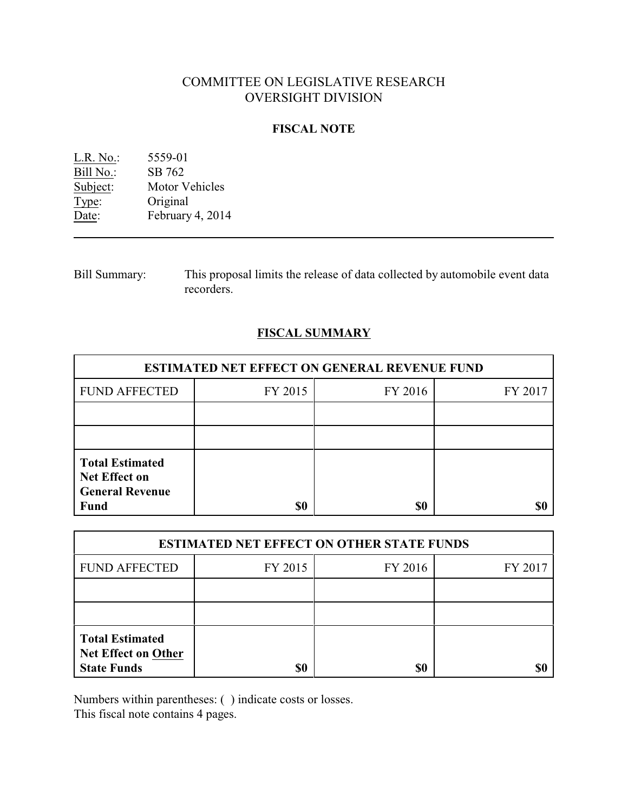# COMMITTEE ON LEGISLATIVE RESEARCH OVERSIGHT DIVISION

## **FISCAL NOTE**

L.R. No.: 5559-01 Bill No.: SB 762<br>Subject: Motor V Motor Vehicles Type: Original Date: February 4, 2014

Bill Summary: This proposal limits the release of data collected by automobile event data recorders.

## **FISCAL SUMMARY**

| <b>ESTIMATED NET EFFECT ON GENERAL REVENUE FUND</b>                                     |         |         |         |  |
|-----------------------------------------------------------------------------------------|---------|---------|---------|--|
| <b>FUND AFFECTED</b>                                                                    | FY 2015 | FY 2016 | FY 2017 |  |
|                                                                                         |         |         |         |  |
|                                                                                         |         |         |         |  |
| <b>Total Estimated</b><br><b>Net Effect on</b><br><b>General Revenue</b><br><b>Fund</b> | \$0     | \$0     |         |  |

| <b>ESTIMATED NET EFFECT ON OTHER STATE FUNDS</b>                           |         |         |         |  |
|----------------------------------------------------------------------------|---------|---------|---------|--|
| <b>FUND AFFECTED</b>                                                       | FY 2015 | FY 2016 | FY 2017 |  |
|                                                                            |         |         |         |  |
|                                                                            |         |         |         |  |
| <b>Total Estimated</b><br><b>Net Effect on Other</b><br><b>State Funds</b> | \$0     | \$0     |         |  |

Numbers within parentheses: ( ) indicate costs or losses.

This fiscal note contains 4 pages.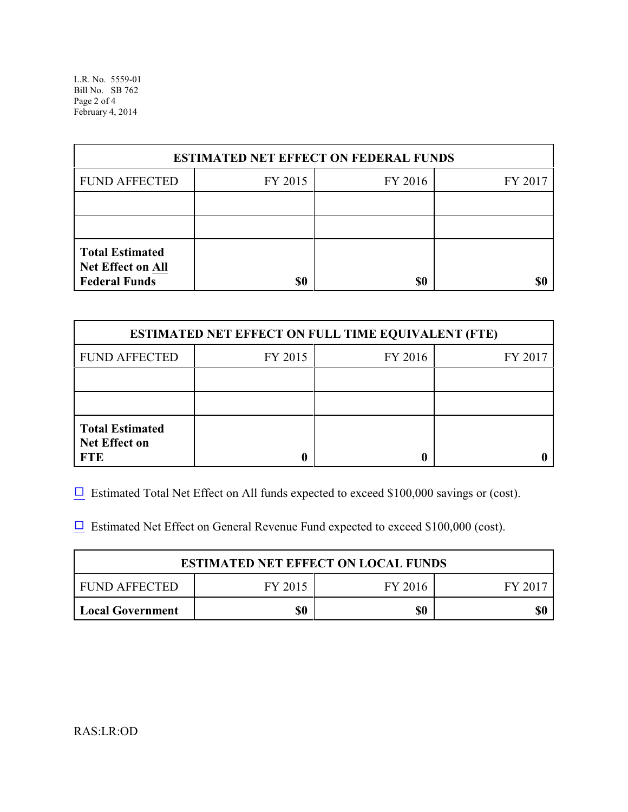L.R. No. 5559-01 Bill No. SB 762 Page 2 of 4 February 4, 2014

| <b>ESTIMATED NET EFFECT ON FEDERAL FUNDS</b>                        |         |         |         |  |
|---------------------------------------------------------------------|---------|---------|---------|--|
| <b>FUND AFFECTED</b>                                                | FY 2015 | FY 2016 | FY 2017 |  |
|                                                                     |         |         |         |  |
|                                                                     |         |         |         |  |
| <b>Total Estimated</b><br>Net Effect on All<br><b>Federal Funds</b> | \$0     | \$0     |         |  |

| <b>ESTIMATED NET EFFECT ON FULL TIME EQUIVALENT (FTE)</b>    |         |         |         |  |
|--------------------------------------------------------------|---------|---------|---------|--|
| <b>FUND AFFECTED</b>                                         | FY 2015 | FY 2016 | FY 2017 |  |
|                                                              |         |         |         |  |
|                                                              |         |         |         |  |
| <b>Total Estimated</b><br><b>Net Effect on</b><br><b>FTE</b> |         |         |         |  |

 $\Box$  Estimated Total Net Effect on All funds expected to exceed \$100,000 savings or (cost).

 $\Box$  Estimated Net Effect on General Revenue Fund expected to exceed \$100,000 (cost).

| <b>ESTIMATED NET EFFECT ON LOCAL FUNDS</b> |         |         |       |
|--------------------------------------------|---------|---------|-------|
| FUND AFFECTED                              | FY 2015 | FY 2016 | FV 20 |
| <b>Local Government</b>                    | \$0     | \$0     |       |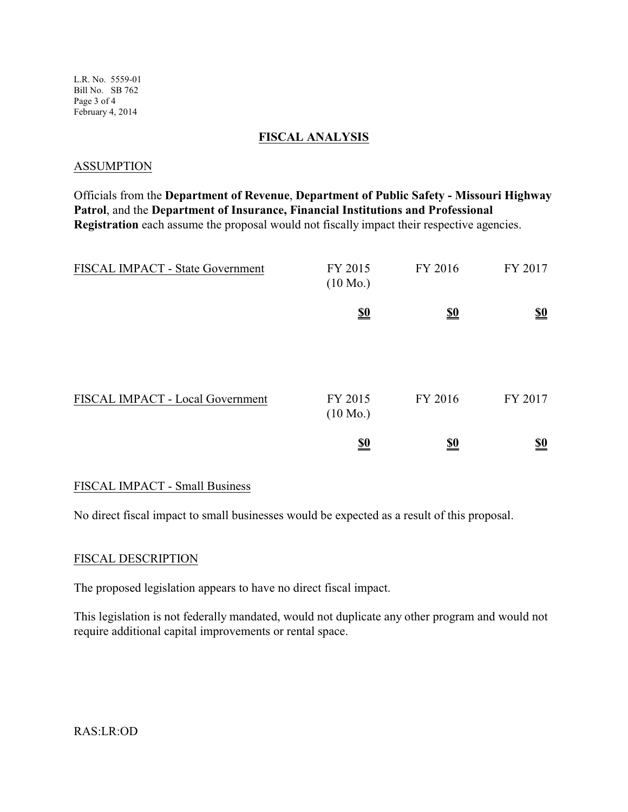L.R. No. 5559-01 Bill No. SB 762 Page 3 of 4 February 4, 2014

### **FISCAL ANALYSIS**

#### **ASSUMPTION**

Officials from the **Department of Revenue**, **Department of Public Safety - Missouri Highway Patrol**, and the **Department of Insurance, Financial Institutions and Professional Registration** each assume the proposal would not fiscally impact their respective agencies.

| FISCAL IMPACT - State Government | FY 2015<br>$(10 \text{ Mo.})$ | FY 2016                       | FY 2017                       |
|----------------------------------|-------------------------------|-------------------------------|-------------------------------|
|                                  | $\underline{\underline{\$0}}$ | $\underline{\underline{\$0}}$ | $\underline{\underline{\$0}}$ |
| FISCAL IMPACT - Local Government | FY 2015<br>$(10 \text{ Mo.})$ | FY 2016                       | FY 2017                       |
|                                  | $\underline{\underline{\$0}}$ | <u>\$0</u>                    | $\underline{\underline{\$0}}$ |

### FISCAL IMPACT - Small Business

No direct fiscal impact to small businesses would be expected as a result of this proposal.

#### FISCAL DESCRIPTION

The proposed legislation appears to have no direct fiscal impact.

This legislation is not federally mandated, would not duplicate any other program and would not require additional capital improvements or rental space.